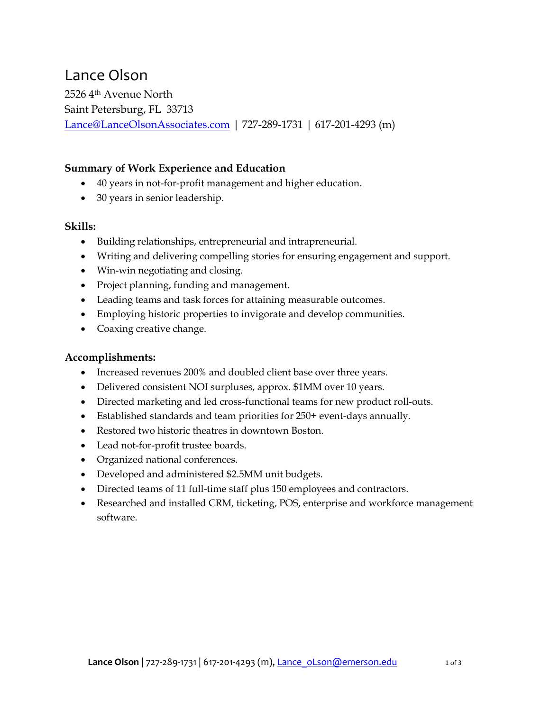# Lance Olson

2526 4th Avenue North Saint Petersburg, FL 33713 Lance@LanceOlsonAssociates.com | 727-289-1731 | 617-201-4293 (m)

## Summary of Work Experience and Education

- 40 years in not-for-profit management and higher education.
- 30 years in senior leadership.

#### Skills:

- Building relationships, entrepreneurial and intrapreneurial.
- Writing and delivering compelling stories for ensuring engagement and support.
- Win-win negotiating and closing.
- Project planning, funding and management.
- Leading teams and task forces for attaining measurable outcomes.
- Employing historic properties to invigorate and develop communities.
- Coaxing creative change.

### Accomplishments:

- Increased revenues 200% and doubled client base over three years.
- Delivered consistent NOI surpluses, approx. \$1MM over 10 years.
- Directed marketing and led cross-functional teams for new product roll-outs.
- Established standards and team priorities for 250+ event-days annually.
- Restored two historic theatres in downtown Boston.
- Lead not-for-profit trustee boards.
- Organized national conferences.
- Developed and administered \$2.5MM unit budgets.
- Directed teams of 11 full-time staff plus 150 employees and contractors.
- Researched and installed CRM, ticketing, POS, enterprise and workforce management software.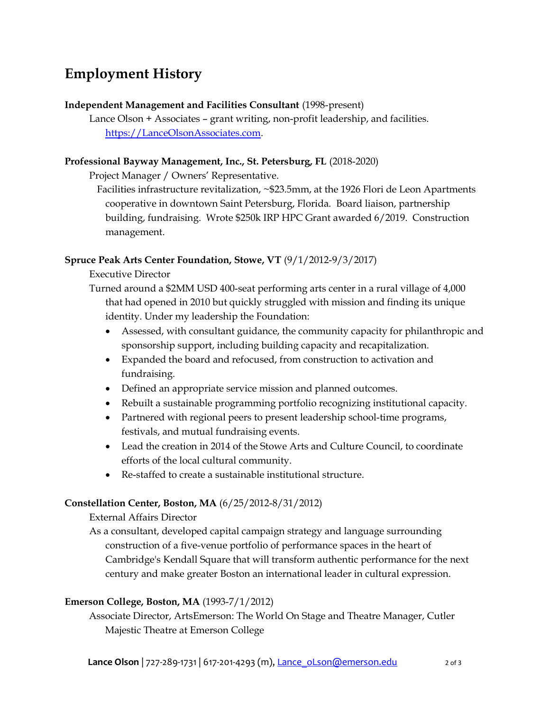# Employment History

#### Independent Management and Facilities Consultant (1998-present)

Lance Olson + Associates – grant writing, non-profit leadership, and facilities. https://LanceOlsonAssociates.com.

#### Professional Bayway Management, Inc., St. Petersburg, FL (2018-2020)

Project Manager / Owners' Representative.

Facilities infrastructure revitalization, ~\$23.5mm, at the 1926 Flori de Leon Apartments cooperative in downtown Saint Petersburg, Florida. Board liaison, partnership building, fundraising. Wrote \$250k IRP HPC Grant awarded 6/2019. Construction management.

### Spruce Peak Arts Center Foundation, Stowe, VT (9/1/2012-9/3/2017)

Executive Director

Turned around a \$2MM USD 400-seat performing arts center in a rural village of 4,000 that had opened in 2010 but quickly struggled with mission and finding its unique identity. Under my leadership the Foundation:

- Assessed, with consultant guidance, the community capacity for philanthropic and sponsorship support, including building capacity and recapitalization.
- Expanded the board and refocused, from construction to activation and fundraising.
- Defined an appropriate service mission and planned outcomes.
- Rebuilt a sustainable programming portfolio recognizing institutional capacity.
- Partnered with regional peers to present leadership school-time programs, festivals, and mutual fundraising events.
- Lead the creation in 2014 of the Stowe Arts and Culture Council, to coordinate efforts of the local cultural community.
- Re-staffed to create a sustainable institutional structure.

### Constellation Center, Boston, MA (6/25/2012-8/31/2012)

External Affairs Director

As a consultant, developed capital campaign strategy and language surrounding construction of a five-venue portfolio of performance spaces in the heart of Cambridge's Kendall Square that will transform authentic performance for the next century and make greater Boston an international leader in cultural expression.

### Emerson College, Boston, MA (1993-7/1/2012)

Associate Director, ArtsEmerson: The World On Stage and Theatre Manager, Cutler Majestic Theatre at Emerson College